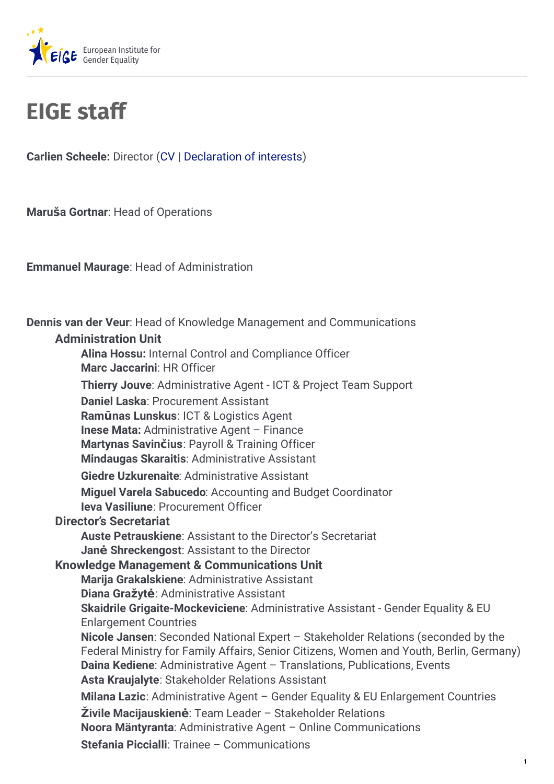

## **EIGE staff**

**Carlien Scheele:** Director ([CV](https://eige.europa.eu/sites/default/files/cs_bio_05022020.pdf) | [Declaration](https://eige.europa.eu/sites/default/files/documents/cs-declaration_of_interests_2022.pdf) of interests)

**Maruša Gortnar**: Head of Operations

**Emmanuel Maurage**: Head of Administration

**Dennis van der Veur**: Head of Knowledge Management and Communications

## **Administration Unit**

**Alina Hossu:** Internal Control and Compliance Officer **Marc Jaccarini**: HR Officer **Thierry Jouve**: Administrative Agent - ICT & Project Team Support **Daniel Laska**: Procurement Assistant **Ramūnas Lunskus**: ICT & Logistics Agent **Inese Mata:** Administrative Agent – Finance **Martynas Savinčius**: Payroll & Training Officer **Mindaugas Skaraitis**: Administrative Assistant **Giedre Uzkurenaite**: Administrative Assistant **Miguel Varela Sabucedo**: Accounting and Budget Coordinator **Ieva Vasiliune**: Procurement Officer **Director's Secretariat Auste Petrauskiene**: Assistant to the Director's Secretariat **Janė Shreckengost**: Assistant to the Director **Knowledge Management & Communications Unit Marija Grakalskiene**: Administrative Assistant **Diana Gražytė**: Administrative Assistant **Skaidrile Grigaite-Mockeviciene**: Administrative Assistant - Gender Equality & EU Enlargement Countries **Nicole Jansen**: Seconded National Expert – Stakeholder Relations (seconded by the Federal Ministry for Family Affairs, Senior Citizens, Women and Youth, Berlin, Germany) **Daina Kediene**: Administrative Agent – Translations, Publications, Events **Asta Kraujalyte**: Stakeholder Relations Assistant **Milana Lazic**: Administrative Agent – Gender Equality & EU Enlargement Countries **Živile Macijauskienė**: Team Leader – Stakeholder Relations **Noora Mäntyranta**: Administrative Agent – Online Communications **Stefania Piccialli**: Trainee – Communications